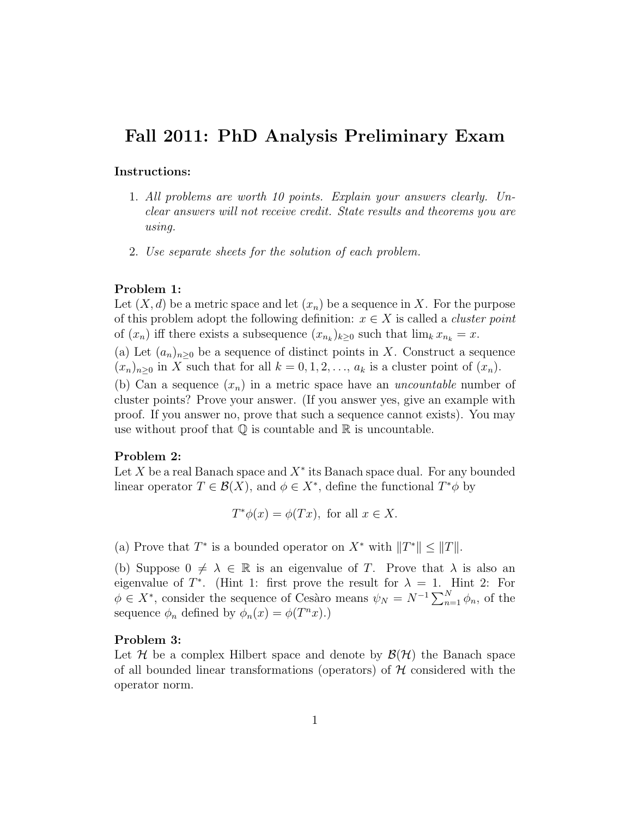# Fall 2011: PhD Analysis Preliminary Exam

## Instructions:

- 1. All problems are worth 10 points. Explain your answers clearly. Unclear answers will not receive credit. State results and theorems you are using.
- 2. Use separate sheets for the solution of each problem.

## Problem 1:

Let  $(X, d)$  be a metric space and let  $(x_n)$  be a sequence in X. For the purpose of this problem adopt the following definition:  $x \in X$  is called a *cluster point* of  $(x_n)$  iff there exists a subsequence  $(x_{n_k})_{k\geq 0}$  such that  $\lim_k x_{n_k} = x$ .

(a) Let  $(a_n)_{n\geq 0}$  be a sequence of distinct points in X. Construct a sequence  $(x_n)_{n\geq 0}$  in X such that for all  $k = 0, 1, 2, \ldots, a_k$  is a cluster point of  $(x_n)$ .

(b) Can a sequence  $(x_n)$  in a metric space have an *uncountable* number of cluster points? Prove your answer. (If you answer yes, give an example with proof. If you answer no, prove that such a sequence cannot exists). You may use without proof that  $\mathbb Q$  is countable and  $\mathbb R$  is uncountable.

## Problem 2:

Let  $X$  be a real Banach space and  $X^*$  its Banach space dual. For any bounded linear operator  $T \in \mathcal{B}(X)$ , and  $\phi \in X^*$ , define the functional  $T^*\phi$  by

$$
T^*\phi(x) = \phi(Tx), \text{ for all } x \in X.
$$

(a) Prove that  $T^*$  is a bounded operator on  $X^*$  with  $||T^*|| \le ||T||$ .

(b) Suppose  $0 \neq \lambda \in \mathbb{R}$  is an eigenvalue of T. Prove that  $\lambda$  is also an eigenvalue of  $T^*$ . (Hint 1: first prove the result for  $\lambda = 1$ . Hint 2: For  $\phi \in X^*$ , consider the sequence of Cesàro means  $\psi_N = N^{-1} \sum_{n=1}^N \phi_n$ , of the sequence  $\phi_n$  defined by  $\phi_n(x) = \phi(T^n x)$ .

## Problem 3:

Let H be a complex Hilbert space and denote by  $\mathcal{B}(\mathcal{H})$  the Banach space of all bounded linear transformations (operators) of  $H$  considered with the operator norm.